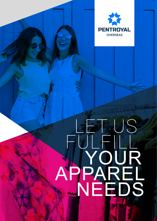

# LET US FULFILL YOUR APPAREL NEEDS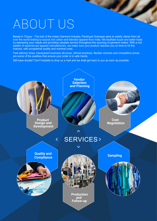## ABOUT US

Based in Tirupur - The hub of the Indian Garment Industry, Pentroyal Overseas aims to satisfy clients from all over the world looking to source rich cotton and blended apparel from India. We facilitate buyer and seller trade by assessing your needs and providing valuable service throughout the sourcing of garment orders. With a rich palette of experienced apparel manufacturers, we make sure your product reaches you on time to hit the shelves, with exceptional quality and nominal costs.

 $\boldsymbol{\mathcal{L}}$ 

Fast delivery times, transparent business structure, ethical practices, flexible volumes and competitive prices are some of the qualities that ensure your order is in safe hands.

Still have doubts? Don't hesitate to drop us a mail and we shall get back to you as soon as possible.

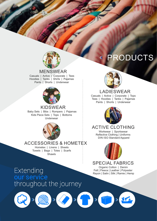

#### MENSWEAR

Casuals | Active | Corporate | Tees Hoodies | Tanks | Shirts | Pajamas Pants | Shorts | Underwear



#### KIDSWEAR Baby Sets | Bibs | Rompers | Pajamas Kids Piece Sets | Tops | Bottoms Underwear



#### ACCESSORIES & HOMETEX

Hometex | Linens | Sheets Towels | Bags | Totes | Scarfs Shawls

### PRODUCTS



#### LADIESWEAR

Casuals | Active | Corporate | Tops Tees | Hoodies | Tanks | Pajamas Pants | Shorts | Underwear



#### Workwear | Sportswear ACTIVE CLOTHING

Reflective Clothing | Uniforms DIN ISO Standard Apparel



#### SPECIAL FABRICS

Organic Cotton | Denim Felt | Fleece | Leather | Polyester Rayon | Satin | Silk | Ramie | Hemp

 $\gg$ 



 $\overline{\mathcal{Y}}$